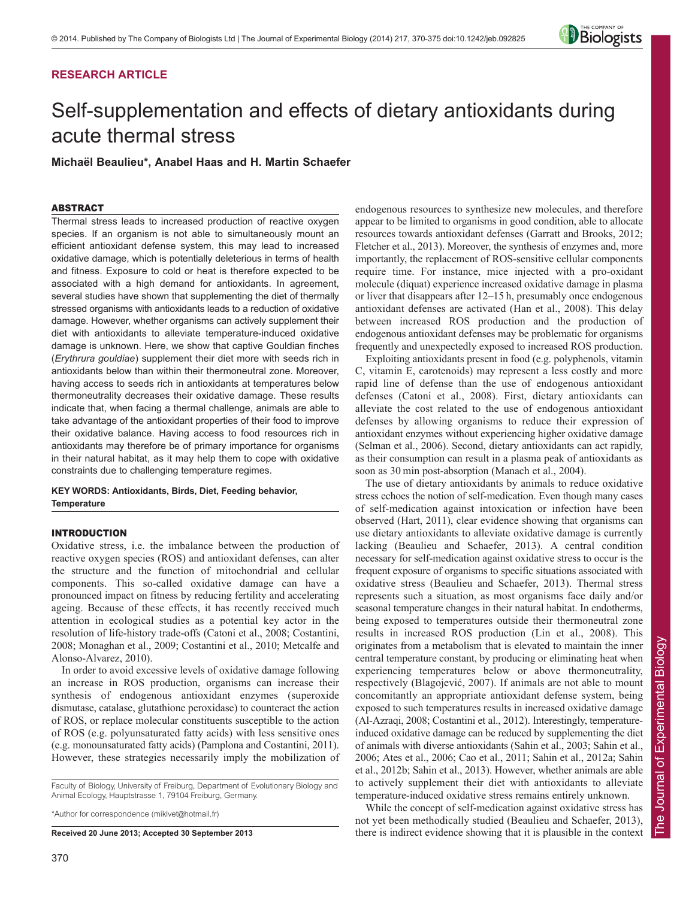## **RESEARCH ARTICLE**

# Self-supplementation and effects of dietary antioxidants during acute thermal stress

**Michaël Beaulieu\*, Anabel Haas and H. Martin Schaefer**

## ABSTRACT

Thermal stress leads to increased production of reactive oxygen species. If an organism is not able to simultaneously mount an efficient antioxidant defense system, this may lead to increased oxidative damage, which is potentially deleterious in terms of health and fitness. Exposure to cold or heat is therefore expected to be associated with a high demand for antioxidants. In agreement, several studies have shown that supplementing the diet of thermally stressed organisms with antioxidants leads to a reduction of oxidative damage. However, whether organisms can actively supplement their diet with antioxidants to alleviate temperature-induced oxidative damage is unknown. Here, we show that captive Gouldian finches (*Erythrura gouldiae*) supplement their diet more with seeds rich in antioxidants below than within their thermoneutral zone. Moreover, having access to seeds rich in antioxidants at temperatures below thermoneutrality decreases their oxidative damage. These results indicate that, when facing a thermal challenge, animals are able to take advantage of the antioxidant properties of their food to improve their oxidative balance. Having access to food resources rich in antioxidants may therefore be of primary importance for organisms in their natural habitat, as it may help them to cope with oxidative constraints due to challenging temperature regimes.

## **KEY WORDS: Antioxidants, Birds, Diet, Feeding behavior, Temperature**

## INTRODUCTION

Oxidative stress, i.e. the imbalance between the production of reactive oxygen species (ROS) and antioxidant defenses, can alter the structure and the function of mitochondrial and cellular components. This so-called oxidative damage can have a pronounced impact on fitness by reducing fertility and accelerating ageing. Because of these effects, it has recently received much attention in ecological studies as a potential key actor in the resolution of life-history trade-offs (Catoni et al., 2008; Costantini, 2008; Monaghan et al., 2009; Costantini et al., 2010; Metcalfe and Alonso-Alvarez, 2010).

In order to avoid excessive levels of oxidative damage following an increase in ROS production, organisms can increase their synthesis of endogenous antioxidant enzymes (superoxide dismutase, catalase, glutathione peroxidase) to counteract the action of ROS, or replace molecular constituents susceptible to the action of ROS (e.g. polyunsaturated fatty acids) with less sensitive ones (e.g. monounsaturated fatty acids) (Pamplona and Costantini, 2011). However, these strategies necessarily imply the mobilization of

Faculty of Biology, University of Freiburg, Department of Evolutionary Biology and Animal Ecology, Hauptstrasse 1, 79104 Freiburg, Germany.

\*Author for correspondence (miklvet@hotmail.fr)

**Received 20 June 2013; Accepted 30 September 2013**

endogenous resources to synthesize new molecules, and therefore appear to be limited to organisms in good condition, able to allocate resources towards antioxidant defenses (Garratt and Brooks, 2012; Fletcher et al., 2013). Moreover, the synthesis of enzymes and, more importantly, the replacement of ROS-sensitive cellular components require time. For instance, mice injected with a pro-oxidant molecule (diquat) experience increased oxidative damage in plasma or liver that disappears after 12–15 h, presumably once endogenous antioxidant defenses are activated (Han et al., 2008). This delay between increased ROS production and the production of endogenous antioxidant defenses may be problematic for organisms frequently and unexpectedly exposed to increased ROS production.

Exploiting antioxidants present in food (e.g. polyphenols, vitamin C, vitamin E, carotenoids) may represent a less costly and more rapid line of defense than the use of endogenous antioxidant defenses (Catoni et al., 2008). First, dietary antioxidants can alleviate the cost related to the use of endogenous antioxidant defenses by allowing organisms to reduce their expression of antioxidant enzymes without experiencing higher oxidative damage (Selman et al., 2006). Second, dietary antioxidants can act rapidly, as their consumption can result in a plasma peak of antioxidants as soon as 30 min post-absorption (Manach et al., 2004).

The use of dietary antioxidants by animals to reduce oxidative stress echoes the notion of self-medication. Even though many cases of self-medication against intoxication or infection have been observed (Hart, 2011), clear evidence showing that organisms can use dietary antioxidants to alleviate oxidative damage is currently lacking (Beaulieu and Schaefer, 2013). A central condition necessary for self-medication against oxidative stress to occur is the frequent exposure of organisms to specific situations associated with oxidative stress (Beaulieu and Schaefer, 2013). Thermal stress represents such a situation, as most organisms face daily and/or seasonal temperature changes in their natural habitat. In endotherms, being exposed to temperatures outside their thermoneutral zone results in increased ROS production (Lin et al., 2008). This originates from a metabolism that is elevated to maintain the inner central temperature constant, by producing or eliminating heat when experiencing temperatures below or above thermoneutrality, respectively (Blagojević, 2007). If animals are not able to mount concomitantly an appropriate antioxidant defense system, being exposed to such temperatures results in increased oxidative damage (Al-Azraqi, 2008; Costantini et al., 2012). Interestingly, temperatureinduced oxidative damage can be reduced by supplementing the diet of animals with diverse antioxidants (Sahin et al., 2003; Sahin et al., 2006; Ates et al., 2006; Cao et al., 2011; Sahin et al., 2012a; Sahin et al., 2012b; Sahin et al., 2013). However, whether animals are able to actively supplement their diet with antioxidants to alleviate temperature-induced oxidative stress remains entirely unknown.

While the concept of self-medication against oxidative stress has not yet been methodically studied (Beaulieu and Schaefer, 2013), there is indirect evidence showing that it is plausible in the context

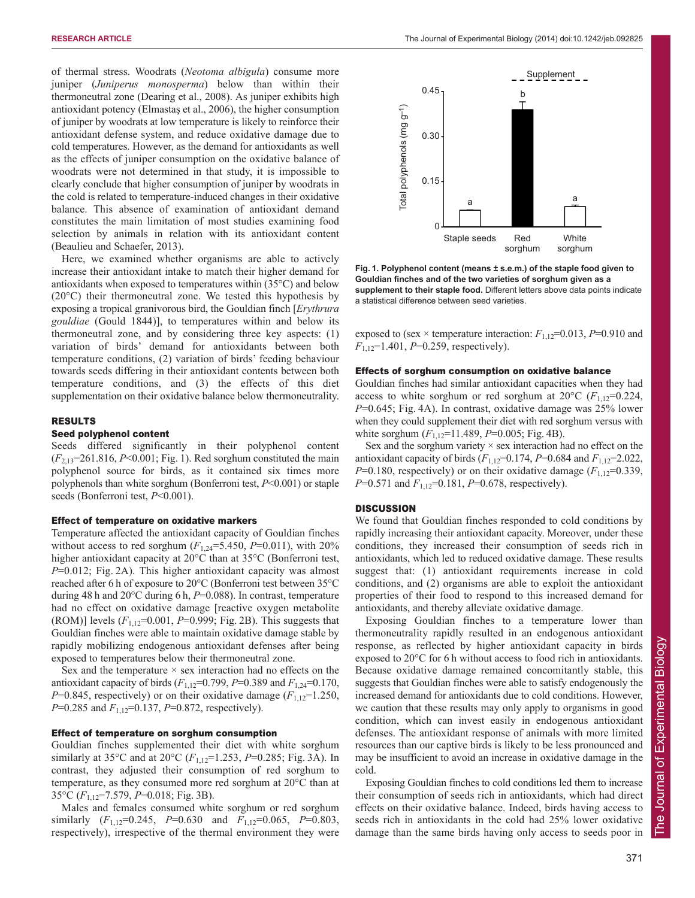of thermal stress. Woodrats (*Neotoma albigula*) consume more juniper (*Juniperus monosperma*) below than within their thermoneutral zone (Dearing et al., 2008). As juniper exhibits high antioxidant potency (Elmastaş et al., 2006), the higher consumption of juniper by woodrats at low temperature is likely to reinforce their antioxidant defense system, and reduce oxidative damage due to cold temperatures. However, as the demand for antioxidants as well as the effects of juniper consumption on the oxidative balance of woodrats were not determined in that study, it is impossible to clearly conclude that higher consumption of juniper by woodrats in the cold is related to temperature-induced changes in their oxidative balance. This absence of examination of antioxidant demand constitutes the main limitation of most studies examining food selection by animals in relation with its antioxidant content (Beaulieu and Schaefer, 2013).

Here, we examined whether organisms are able to actively increase their antioxidant intake to match their higher demand for antioxidants when exposed to temperatures within (35°C) and below (20°C) their thermoneutral zone. We tested this hypothesis by exposing a tropical granivorous bird, the Gouldian finch [*Erythrura gouldiae* (Gould 1844)], to temperatures within and below its thermoneutral zone, and by considering three key aspects: (1) variation of birds' demand for antioxidants between both temperature conditions, (2) variation of birds' feeding behaviour towards seeds differing in their antioxidant contents between both temperature conditions, and (3) the effects of this diet supplementation on their oxidative balance below thermoneutrality.

## RESULTS

## Seed polyphenol content

Seeds differed significantly in their polyphenol content  $(F_{2,13}=261.816, P<0.001; Fig. 1)$ . Red sorghum constituted the main polyphenol source for birds, as it contained six times more polyphenols than white sorghum (Bonferroni test, *P*<0.001) or staple seeds (Bonferroni test, *P*<0.001).

#### Effect of temperature on oxidative markers

Temperature affected the antioxidant capacity of Gouldian finches without access to red sorghum  $(F_{1,24} = 5.450, P = 0.011)$ , with 20% higher antioxidant capacity at 20°C than at 35°C (Bonferroni test, *P*=0.012; Fig. 2A). This higher antioxidant capacity was almost reached after 6 h of exposure to 20°C (Bonferroni test between 35°C during 48 h and 20°C during 6 h,  $P=0.088$ ). In contrast, temperature had no effect on oxidative damage [reactive oxygen metabolite (ROM)] levels (*F*1,12=0.001, *P*=0.999; Fig. 2B). This suggests that Gouldian finches were able to maintain oxidative damage stable by rapidly mobilizing endogenous antioxidant defenses after being exposed to temperatures below their thermoneutral zone.

Sex and the temperature  $\times$  sex interaction had no effects on the antioxidant capacity of birds  $(F_{1,12}=0.799, P=0.389 \text{ and } F_{1,24}=0.170,$ *P*=0.845, respectively) or on their oxidative damage  $(F_{1,12}=1.250)$ , *P*=0.285 and *F*<sub>1,12</sub>=0.137, *P*=0.872, respectively).

## Effect of temperature on sorghum consumption

Gouldian finches supplemented their diet with white sorghum similarly at 35°C and at 20°C (*F*1,12=1.253, *P*=0.285; Fig. 3A). In contrast, they adjusted their consumption of red sorghum to temperature, as they consumed more red sorghum at 20°C than at 35°C (*F*1,12=7.579, *P*=0.018; Fig. 3B).

Males and females consumed white sorghum or red sorghum similarly (*F*1,12=0.245, *P*=0.630 and *F*1,12=0.065, *P*=0.803, respectively), irrespective of the thermal environment they were



**Fig. 1. Polyphenol content (means ± s.e.m.) of the staple food given to Gouldian finches and of the two varieties of sorghum given as a supplement to their staple food.** Different letters above data points indicate a statistical difference between seed varieties.

exposed to (sex  $\times$  temperature interaction:  $F_{1,12}=0.013$ ,  $P=0.910$  and *F*1,12=1.401, *P*=0.259, respectively).

#### Effects of sorghum consumption on oxidative balance

Gouldian finches had similar antioxidant capacities when they had access to white sorghum or red sorghum at  $20^{\circ}$ C ( $F_{1,12}=0.224$ , *P*=0.645; Fig. 4A). In contrast, oxidative damage was 25% lower when they could supplement their diet with red sorghum versus with white sorghum ( $F_{1,12}$ =11.489, *P*=0.005; Fig. 4B).

Sex and the sorghum variety  $\times$  sex interaction had no effect on the antioxidant capacity of birds ( $F_{1,12}$ =0.174,  $P$ =0.684 and  $F_{1,12}$ =2.022,  $P=0.180$ , respectively) or on their oxidative damage ( $F_{1,12}=0.339$ , *P*=0.571 and *F*<sub>1,12</sub>=0.181, *P*=0.678, respectively).

#### **DISCUSSION**

We found that Gouldian finches responded to cold conditions by rapidly increasing their antioxidant capacity. Moreover, under these conditions, they increased their consumption of seeds rich in antioxidants, which led to reduced oxidative damage. These results suggest that: (1) antioxidant requirements increase in cold conditions, and (2) organisms are able to exploit the antioxidant properties of their food to respond to this increased demand for antioxidants, and thereby alleviate oxidative damage.

Exposing Gouldian finches to a temperature lower than thermoneutrality rapidly resulted in an endogenous antioxidant response, as reflected by higher antioxidant capacity in birds exposed to 20°C for 6 h without access to food rich in antioxidants. Because oxidative damage remained concomitantly stable, this suggests that Gouldian finches were able to satisfy endogenously the increased demand for antioxidants due to cold conditions. However, we caution that these results may only apply to organisms in good condition, which can invest easily in endogenous antioxidant defenses. The antioxidant response of animals with more limited resources than our captive birds is likely to be less pronounced and may be insufficient to avoid an increase in oxidative damage in the cold.

Exposing Gouldian finches to cold conditions led them to increase their consumption of seeds rich in antioxidants, which had direct effects on their oxidative balance. Indeed, birds having access to seeds rich in antioxidants in the cold had 25% lower oxidative damage than the same birds having only access to seeds poor in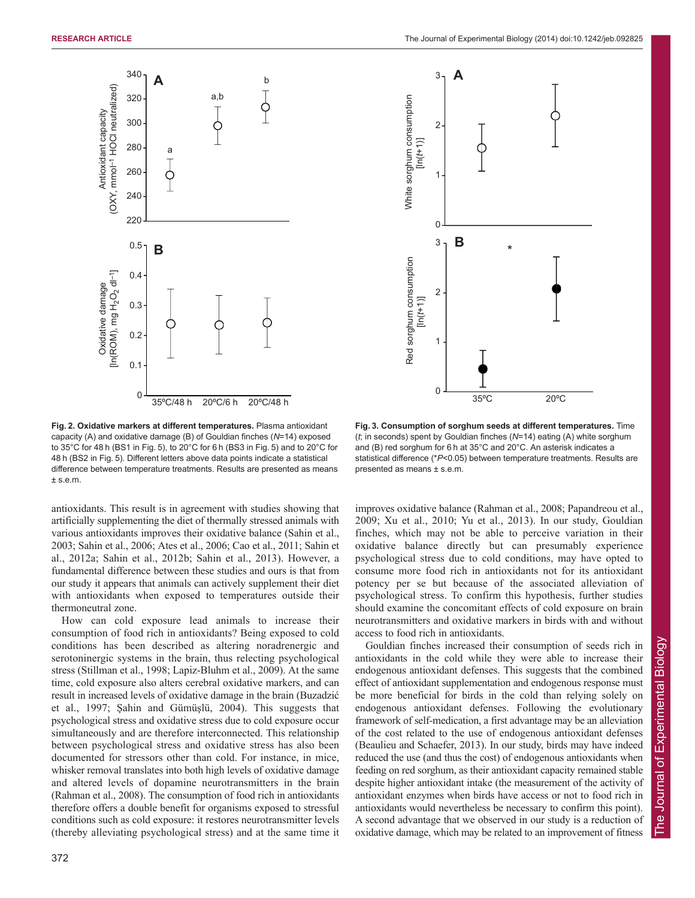





**Fig. 2. Oxidative markers at different temperatures.** Plasma antioxidant capacity (A) and oxidative damage (B) of Gouldian finches (*N*=14) exposed to 35°C for 48 h (BS1 in Fig. 5), to 20°C for 6 h (BS3 in Fig. 5) and to 20°C for 48 h (BS2 in Fig. 5). Different letters above data points indicate a statistical difference between temperature treatments. Results are presented as means ± s.e.m.

antioxidants. This result is in agreement with studies showing that artificially supplementing the diet of thermally stressed animals with various antioxidants improves their oxidative balance (Sahin et al., 2003; Sahin et al., 2006; Ates et al., 2006; Cao et al., 2011; Sahin et al., 2012a; Sahin et al., 2012b; Sahin et al., 2013). However, a fundamental difference between these studies and ours is that from our study it appears that animals can actively supplement their diet with antioxidants when exposed to temperatures outside their thermoneutral zone.

How can cold exposure lead animals to increase their consumption of food rich in antioxidants? Being exposed to cold conditions has been described as altering noradrenergic and serotoninergic systems in the brain, thus relecting psychological stress (Stillman et al., 1998; Lapiz-Bluhm et al., 2009). At the same time, cold exposure also alters cerebral oxidative markers, and can result in increased levels of oxidative damage in the brain (Buzadzić et al., 1997; Şahin and Gümüşlü, 2004). This suggests that psychological stress and oxidative stress due to cold exposure occur simultaneously and are therefore interconnected. This relationship between psychological stress and oxidative stress has also been documented for stressors other than cold. For instance, in mice, whisker removal translates into both high levels of oxidative damage and altered levels of dopamine neurotransmitters in the brain (Rahman et al., 2008). The consumption of food rich in antioxidants therefore offers a double benefit for organisms exposed to stressful conditions such as cold exposure: it restores neurotransmitter levels (thereby alleviating psychological stress) and at the same time it

**Fig. 3. Consumption of sorghum seeds at different temperatures.** Time (*t*; in seconds) spent by Gouldian finches (*N*=14) eating (A) white sorghum and (B) red sorghum for 6 h at 35°C and 20°C. An asterisk indicates a statistical difference (\**P*<0.05) between temperature treatments. Results are presented as means ± s.e.m.

improves oxidative balance (Rahman et al., 2008; Papandreou et al., 2009; Xu et al., 2010; Yu et al., 2013). In our study, Gouldian finches, which may not be able to perceive variation in their oxidative balance directly but can presumably experience psychological stress due to cold conditions, may have opted to consume more food rich in antioxidants not for its antioxidant potency per se but because of the associated alleviation of psychological stress. To confirm this hypothesis, further studies should examine the concomitant effects of cold exposure on brain neurotransmitters and oxidative markers in birds with and without access to food rich in antioxidants.

Gouldian finches increased their consumption of seeds rich in antioxidants in the cold while they were able to increase their endogenous antioxidant defenses. This suggests that the combined effect of antioxidant supplementation and endogenous response must be more beneficial for birds in the cold than relying solely on endogenous antioxidant defenses. Following the evolutionary framework of self-medication, a first advantage may be an alleviation of the cost related to the use of endogenous antioxidant defenses (Beaulieu and Schaefer, 2013). In our study, birds may have indeed reduced the use (and thus the cost) of endogenous antioxidants when feeding on red sorghum, as their antioxidant capacity remained stable despite higher antioxidant intake (the measurement of the activity of antioxidant enzymes when birds have access or not to food rich in antioxidants would nevertheless be necessary to confirm this point). A second advantage that we observed in our study is a reduction of oxidative damage, which may be related to an improvement of fitness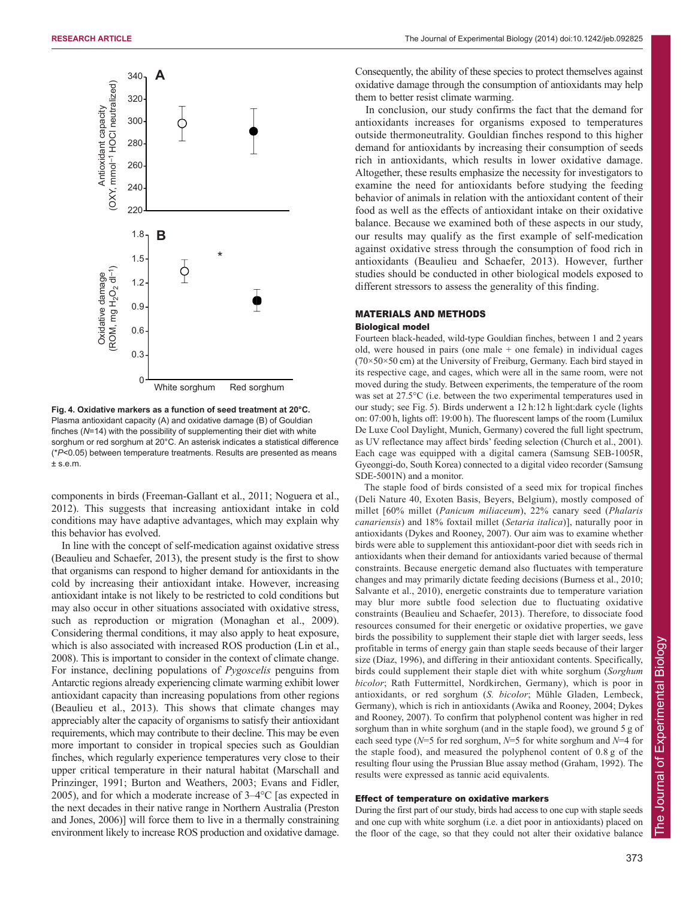

**Fig. 4. Oxidative markers as a function of seed treatment at 20°C.** Plasma antioxidant capacity (A) and oxidative damage (B) of Gouldian finches (*N*=14) with the possibility of supplementing their diet with white sorghum or red sorghum at 20°C. An asterisk indicates a statistical difference (\**P*<0.05) between temperature treatments. Results are presented as means ± s.e.m.

components in birds (Freeman-Gallant et al., 2011; Noguera et al., 2012). This suggests that increasing antioxidant intake in cold conditions may have adaptive advantages, which may explain why this behavior has evolved.

In line with the concept of self-medication against oxidative stress (Beaulieu and Schaefer, 2013), the present study is the first to show that organisms can respond to higher demand for antioxidants in the cold by increasing their antioxidant intake. However, increasing antioxidant intake is not likely to be restricted to cold conditions but may also occur in other situations associated with oxidative stress, such as reproduction or migration (Monaghan et al., 2009). Considering thermal conditions, it may also apply to heat exposure, which is also associated with increased ROS production (Lin et al., 2008). This is important to consider in the context of climate change. For instance, declining populations of *Pygoscelis* penguins from Antarctic regions already experiencing climate warming exhibit lower antioxidant capacity than increasing populations from other regions (Beaulieu et al., 2013). This shows that climate changes may appreciably alter the capacity of organisms to satisfy their antioxidant requirements, which may contribute to their decline. This may be even more important to consider in tropical species such as Gouldian finches, which regularly experience temperatures very close to their upper critical temperature in their natural habitat (Marschall and Prinzinger, 1991; Burton and Weathers, 2003; Evans and Fidler, 2005), and for which a moderate increase of 3–4°C [as expected in the next decades in their native range in Northern Australia (Preston and Jones, 2006)] will force them to live in a thermally constraining environment likely to increase ROS production and oxidative damage.

Consequently, the ability of these species to protect themselves against oxidative damage through the consumption of antioxidants may help them to better resist climate warming.

In conclusion, our study confirms the fact that the demand for antioxidants increases for organisms exposed to temperatures outside thermoneutrality. Gouldian finches respond to this higher demand for antioxidants by increasing their consumption of seeds rich in antioxidants, which results in lower oxidative damage. Altogether, these results emphasize the necessity for investigators to examine the need for antioxidants before studying the feeding behavior of animals in relation with the antioxidant content of their food as well as the effects of antioxidant intake on their oxidative balance. Because we examined both of these aspects in our study, our results may qualify as the first example of self-medication against oxidative stress through the consumption of food rich in antioxidants (Beaulieu and Schaefer, 2013). However, further studies should be conducted in other biological models exposed to different stressors to assess the generality of this finding.

## MATERIALS AND METHODS

## Biological model

Fourteen black-headed, wild-type Gouldian finches, between 1 and 2 years old, were housed in pairs (one male + one female) in individual cages (70×50×50 cm) at the University of Freiburg, Germany. Each bird stayed in its respective cage, and cages, which were all in the same room, were not moved during the study. Between experiments, the temperature of the room was set at 27.5°C (i.e. between the two experimental temperatures used in our study; see Fig. 5). Birds underwent a 12 h:12 h light:dark cycle (lights on: 07:00 h, lights off: 19:00 h). The fluorescent lamps of the room (Lumilux De Luxe Cool Daylight, Munich, Germany) covered the full light spectrum, as UV reflectance may affect birds' feeding selection (Church et al., 2001). Each cage was equipped with a digital camera (Samsung SEB-1005R, Gyeonggi-do, South Korea) connected to a digital video recorder (Samsung SDE-5001N) and a monitor.

The staple food of birds consisted of a seed mix for tropical finches (Deli Nature 40, Exoten Basis, Beyers, Belgium), mostly composed of millet [60% millet (*Panicum miliaceum*), 22% canary seed (*Phalaris canariensis*) and 18% foxtail millet (*Setaria italica*)], naturally poor in antioxidants (Dykes and Rooney, 2007). Our aim was to examine whether birds were able to supplement this antioxidant-poor diet with seeds rich in antioxidants when their demand for antioxidants varied because of thermal constraints. Because energetic demand also fluctuates with temperature changes and may primarily dictate feeding decisions (Burness et al., 2010; Salvante et al., 2010), energetic constraints due to temperature variation may blur more subtle food selection due to fluctuating oxidative constraints (Beaulieu and Schaefer, 2013). Therefore, to dissociate food resources consumed for their energetic or oxidative properties, we gave birds the possibility to supplement their staple diet with larger seeds, less profitable in terms of energy gain than staple seeds because of their larger size (Díaz, 1996), and differing in their antioxidant contents. Specifically, birds could supplement their staple diet with white sorghum (*Sorghum bicolor*; Rath Futtermittel, Nordkirchen, Germany), which is poor in antioxidants, or red sorghum (*S. bicolor*; Mühle Gladen, Lembeck, Germany), which is rich in antioxidants (Awika and Rooney, 2004; Dykes and Rooney, 2007). To confirm that polyphenol content was higher in red sorghum than in white sorghum (and in the staple food), we ground 5 g of each seed type (*N*=5 for red sorghum, *N*=5 for white sorghum and *N*=4 for the staple food), and measured the polyphenol content of 0.8 g of the resulting flour using the Prussian Blue assay method (Graham, 1992). The results were expressed as tannic acid equivalents.

## Effect of temperature on oxidative markers

During the first part of our study, birds had access to one cup with staple seeds and one cup with white sorghum (i.e. a diet poor in antioxidants) placed on the floor of the cage, so that they could not alter their oxidative balance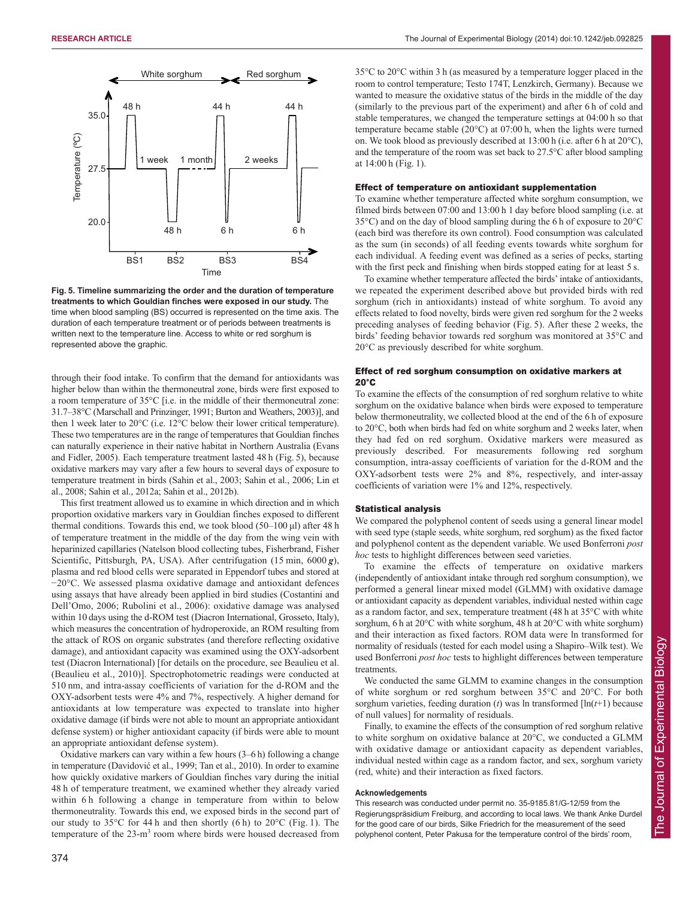

**Fig. 5. Timeline summarizing the order and the duration of temperature treatments to which Gouldian finches were exposed in our study.** The time when blood sampling (BS) occurred is represented on the time axis. The duration of each temperature treatment or of periods between treatments is written next to the temperature line. Access to white or red sorghum is represented above the graphic.

through their food intake. To confirm that the demand for antioxidants was higher below than within the thermoneutral zone, birds were first exposed to a room temperature of 35°C [i.e. in the middle of their thermoneutral zone: 31.7–38°C (Marschall and Prinzinger, 1991; Burton and Weathers, 2003)], and then 1 week later to 20°C (i.e. 12°C below their lower critical temperature). These two temperatures are in the range of temperatures that Gouldian finches can naturally experience in their native habitat in Northern Australia (Evans and Fidler, 2005). Each temperature treatment lasted 48 h (Fig. 5), because oxidative markers may vary after a few hours to several days of exposure to temperature treatment in birds (Sahin et al., 2003; Sahin et al., 2006; Lin et al., 2008; Sahin et al., 2012a; Sahin et al., 2012b).

This first treatment allowed us to examine in which direction and in which proportion oxidative markers vary in Gouldian finches exposed to different thermal conditions. Towards this end, we took blood (50–100 μl) after 48 h of temperature treatment in the middle of the day from the wing vein with heparinized capillaries (Natelson blood collecting tubes, Fisherbrand, Fisher Scientific, Pittsburgh, PA, USA). After centrifugation (15 min, 6000 *g*), plasma and red blood cells were separated in Eppendorf tubes and stored at −20°C. We assessed plasma oxidative damage and antioxidant defences using assays that have already been applied in bird studies (Costantini and Dell'Omo, 2006; Rubolini et al., 2006): oxidative damage was analysed within 10 days using the d-ROM test (Diacron International, Grosseto, Italy), which measures the concentration of hydroperoxide, an ROM resulting from the attack of ROS on organic substrates (and therefore reflecting oxidative damage), and antioxidant capacity was examined using the OXY-adsorbent test (Diacron International) [for details on the procedure, see Beaulieu et al. (Beaulieu et al., 2010)]. Spectrophotometric readings were conducted at 510 nm, and intra-assay coefficients of variation for the d-ROM and the OXY-adsorbent tests were 4% and 7%, respectively. A higher demand for antioxidants at low temperature was expected to translate into higher oxidative damage (if birds were not able to mount an appropriate antioxidant defense system) or higher antioxidant capacity (if birds were able to mount an appropriate antioxidant defense system).

Oxidative markers can vary within a few hours (3–6 h) following a change in temperature (Davidović et al., 1999; Tan et al., 2010). In order to examine how quickly oxidative markers of Gouldian finches vary during the initial 48 h of temperature treatment, we examined whether they already varied within 6 h following a change in temperature from within to below thermoneutrality. Towards this end, we exposed birds in the second part of our study to 35°C for 44 h and then shortly (6 h) to 20°C (Fig. 1). The temperature of the  $23-m^3$  room where birds were housed decreased from

35°C to 20°C within 3 h (as measured by a temperature logger placed in the room to control temperature; Testo 174T, Lenzkirch, Germany). Because we wanted to measure the oxidative status of the birds in the middle of the day (similarly to the previous part of the experiment) and after 6 h of cold and stable temperatures, we changed the temperature settings at 04:00 h so that temperature became stable (20°C) at 07:00 h, when the lights were turned on. We took blood as previously described at 13:00 h (i.e. after 6 h at 20°C), and the temperature of the room was set back to 27.5°C after blood sampling at 14:00 h (Fig. 1).

#### Effect of temperature on antioxidant supplementation

To examine whether temperature affected white sorghum consumption, we filmed birds between 07:00 and 13:00 h 1 day before blood sampling (i.e. at 35°C) and on the day of blood sampling during the 6 h of exposure to 20°C (each bird was therefore its own control). Food consumption was calculated as the sum (in seconds) of all feeding events towards white sorghum for each individual. A feeding event was defined as a series of pecks, starting with the first peck and finishing when birds stopped eating for at least 5 s.

To examine whether temperature affected the birds' intake of antioxidants, we repeated the experiment described above but provided birds with red sorghum (rich in antioxidants) instead of white sorghum. To avoid any effects related to food novelty, birds were given red sorghum for the 2 weeks preceding analyses of feeding behavior (Fig. 5). After these 2 weeks, the birds' feeding behavior towards red sorghum was monitored at 35°C and 20°C as previously described for white sorghum.

## Effect of red sorghum consumption on oxidative markers at 20°C

To examine the effects of the consumption of red sorghum relative to white sorghum on the oxidative balance when birds were exposed to temperature below thermoneutrality, we collected blood at the end of the 6 h of exposure to 20°C, both when birds had fed on white sorghum and 2 weeks later, when they had fed on red sorghum. Oxidative markers were measured as previously described. For measurements following red sorghum consumption, intra-assay coefficients of variation for the d-ROM and the OXY-adsorbent tests were 2% and 8%, respectively, and inter-assay coefficients of variation were 1% and 12%, respectively.

#### Statistical analysis

We compared the polyphenol content of seeds using a general linear model with seed type (staple seeds, white sorghum, red sorghum) as the fixed factor and polyphenol content as the dependent variable. We used Bonferroni *post hoc* tests to highlight differences between seed varieties.

To examine the effects of temperature on oxidative markers (independently of antioxidant intake through red sorghum consumption), we performed a general linear mixed model (GLMM) with oxidative damage or antioxidant capacity as dependent variables, individual nested within cage as a random factor, and sex, temperature treatment (48 h at 35°C with white sorghum, 6 h at 20°C with white sorghum, 48 h at 20°C with white sorghum) and their interaction as fixed factors. ROM data were ln transformed for normality of residuals (tested for each model using a Shapiro–Wilk test). We used Bonferroni *post hoc* tests to highlight differences between temperature treatments.

We conducted the same GLMM to examine changes in the consumption of white sorghum or red sorghum between 35°C and 20°C. For both sorghum varieties, feeding duration  $(t)$  was ln transformed  $[\ln(t+1)$  because of null values] for normality of residuals.

Finally, to examine the effects of the consumption of red sorghum relative to white sorghum on oxidative balance at 20°C, we conducted a GLMM with oxidative damage or antioxidant capacity as dependent variables, individual nested within cage as a random factor, and sex, sorghum variety (red, white) and their interaction as fixed factors.

## **Acknowledgements**

This research was conducted under permit no. 35-9185.81/G-12/59 from the Regierungspräsidium Freiburg, and according to local laws. We thank Anke Durdel for the good care of our birds, Silke Friedrich for the measurement of the seed polyphenol content, Peter Pakusa for the temperature control of the birds' room,